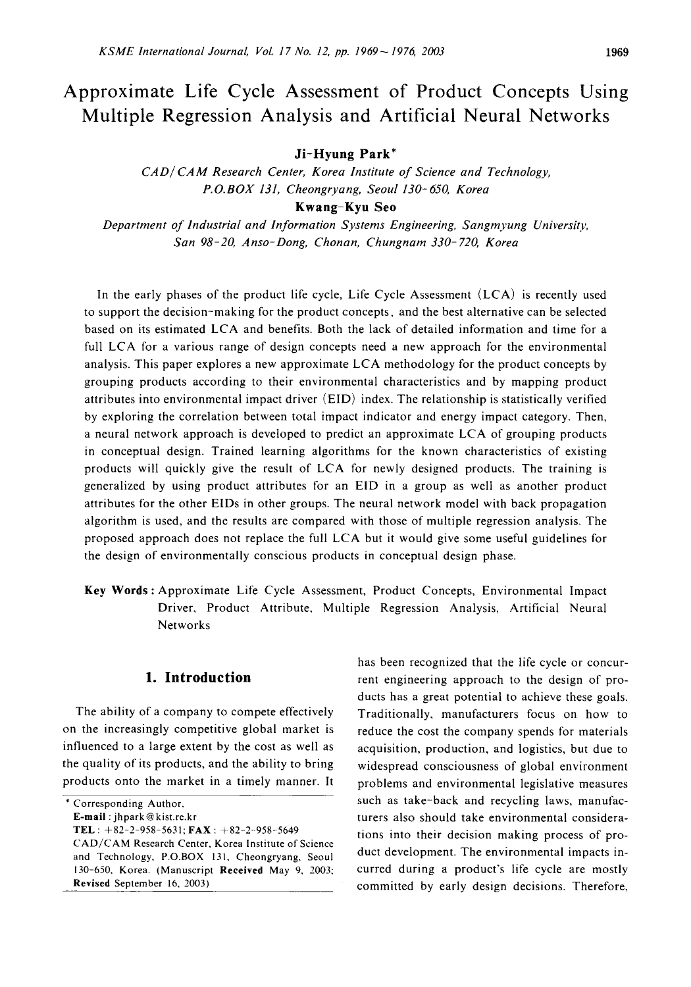# **Approximate Life Cycle Assessment of Product Concepts Using Multiple Regression Analysis and Artificial Neural Networks**

#### **Ji-Hyung Park\***

*CAD/CAM Research Center, Korea Institute of Science and Technology, P.O.BOX 131, Cheongrvang, Seoul 130- 650, Korea*  **Kwang-Kyu Seo** 

*Department of Industrial and Information Systems Engineering, Sangmyung University, San 98-20, Anso-Dong, Chonan, Chungnam 330-720, Korea* 

In the early phases of the product life cycle, Life Cycle Assessment (LCA) is recently used to support the decision-making for the product concepts, and the best alternative can be selected based on its estimated LCA and benefits. Both the lack of detailed information and time for a full LCA for a various range of design concepts need a new approach for the environmental analysis. This paper explores a new approximate LCA methodology for the product concepts by grouping products according to their environmental characteristics and by mapping product attributes into environmental impact driver (EID) index. The relationship is statistically verified by exploring the correlation between total impact indicator and energy impact category. Then, a neural network approach is developed to predict an approximate LCA of grouping products in conceptual design. Trained learning algorithms for the known characteristics of existing products will quickly give the result of LCA for newly designed products. The training is generalized by using product attributes for an EID in a group as well as another product attributes for the other EIDs in other groups. The neural network model with back propagation algorithm is used, and the results are compared with those of multiple regression analysis. The proposed approach does not replace the full LCA but it would give some useful guidelines for the design of environmentally conscious products in conceptual design phase.

**Key** Words:Approximate Life Cycle Assessment, Product Concepts, Environmental Impact Driver, Product Attribute, Multiple Regression Analysis, Artificial Neural Networks

#### **1. Introduction**

The ability of a company to compete effectively on the increasingly competitive global market is influenced to a large extent by the cost as well as the quality of its products, and the ability to bring products onto the market in a timely manner. It

has been recognized that the life cycle or concurrent engineering approach to the design of products has a great potential to achieve these goals. Traditionally, manufacturers focus on how to reduce the cost the company spends for materials acquisition, production, and logistics, but due to widespread consciousness of global environment problems and environmental legislative measures such as take-back and recycling laws, manufacturers also should take environmental considerations into their decision making process of product development. The environmental impacts incurred during a product's life cycle are mostly committed by early design decisions. Therefore,

<sup>\*</sup> Corresponding Author,

**E-mail** : jhpark @ kist.re.kr

**TEL :** +82-2-958-5631; FAX : +82-2-958-5649 CAD/CAM Research Center, Korea Institute of Science and Technology, P.O.BOX 131, Cheongryang, Seoul 130-650, Korea. (Manuscript **Received** May 9, 2003: **Revised** September 16, 2003)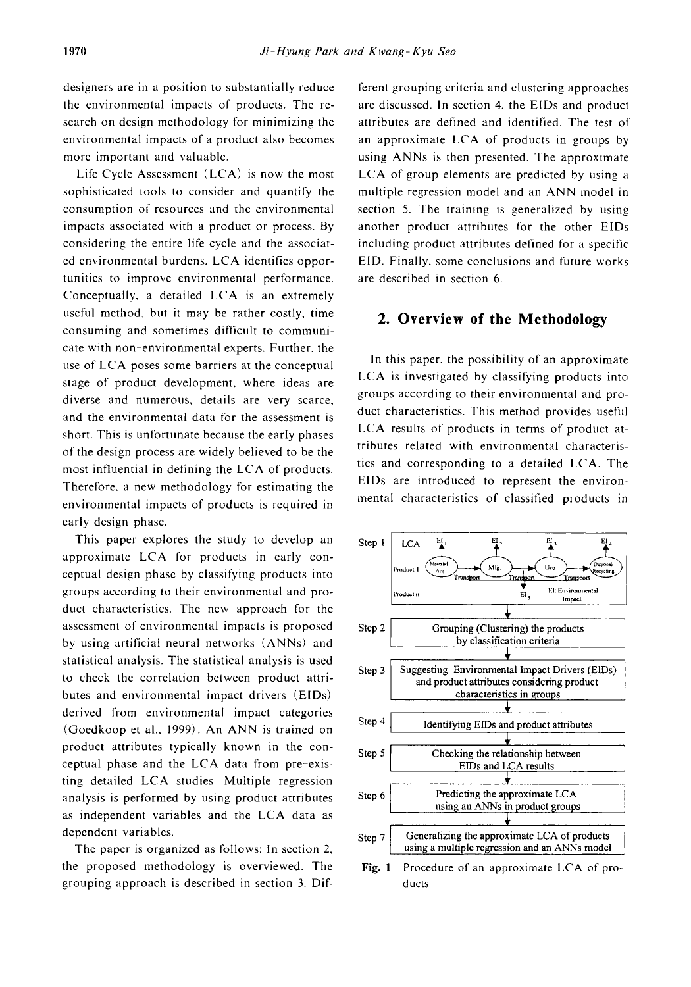designers are in a position to substantially reduce the environmental impacts of products. The research on design methodology for minimizing the environmental impacts of a product also becomes more important and valuable.

Life Cycle Assessment (LCA) is now the most sophisticated tools to consider and quantify the consumption of resources and the environmental impacts associated with a product or process. By considering the entire life cycle and the associated environmental burdens, LCA *identifies oppor*tunities to improve environmental performance. Conceptually, a detailed LCA is an extremely useful method, but it may be rather costly, time consuming and sometimes difficult to communicate with non-environmental experts. Further, the use of LCA poses some barriers at the conceptual stage of product development, where ideas are diverse and numerous, details are very scarce, and the environmental data for the assessment is short. This is unfortunate because the early phases of the design process are widely believed to be the most influential in defining the LCA of products. Therefore. a new methodology for estimating the environmental impacts of products is required in early design phase.

This paper explores the study to develop an approximate LCA for products in early conceptual design phase by classifying products into groups according to their environmental and product characteristics. The new approach for the assessment of environmental impacts is proposed by using artificial neural networks (ANNs) and statistical analysis. The statistical analysis is used to check the correlation between product attributes and environmental impact drivers (EIDs) derived from environmental impact categories (Goedkoop et al., 1999). An ANN is trained on product attributes typically known in the conceptual phase and the LCA data from pre-existing detailed LCA studies. Multiple regression analysis is performed by using product attributes as independent variables and the LCA data as dependent variables.

The paper is organized as follows: In section 2, the proposed methodology is overviewed. The grouping approach is described in section 3. Different grouping criteria and clustering approaches are discussed. In section 4, the EIDs and product attributes are defined and identified. The test of an approximate LCA of products in groups by using ANNs is then presented. The approximate LCA of group elements are predicted by using a multiple regression model and an ANN model in section 5. The training is generalized by using another product attributes for the other EIDs including product attributes defined for a specific EID. Finally, some conclusions and future works are described in section 6.

#### **2. Overview of the Methodology**

In this paper, the possibility of an approximate LCA is investigated by classifying products into groups according to their environmental and product characteristics. This method provides useful LCA results of products in terms of product attributes related with environmental characteristics and corresponding to a detailed LCA. The EIDs are introduced to represent the environmental characteristics of classified products in



Fig. 1 Procedure of an approximate LCA of products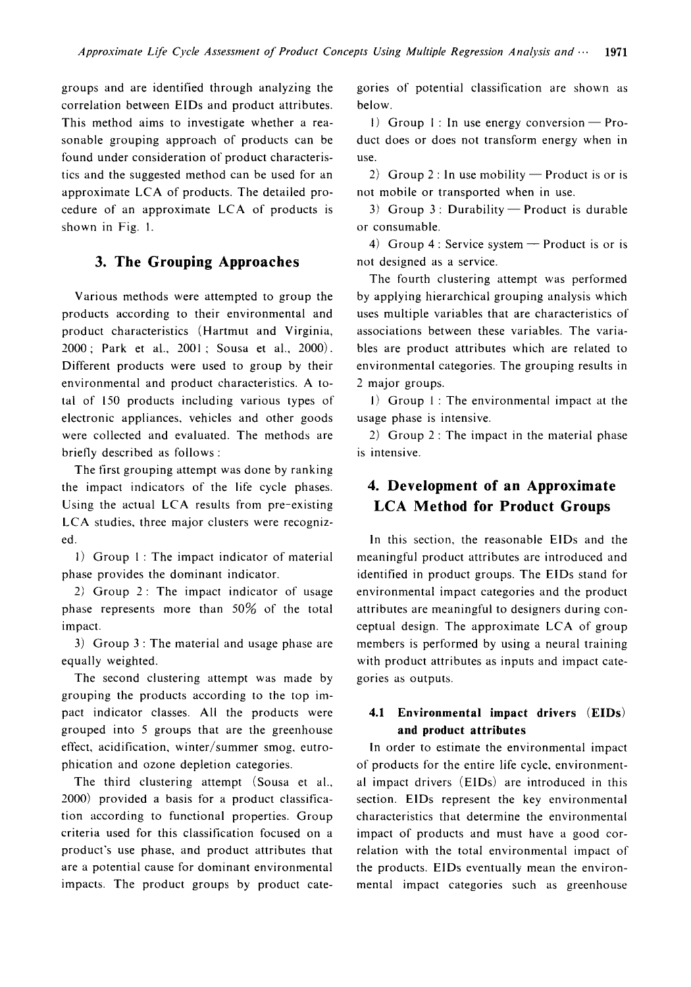groups and are identified through analyzing the correlation between EIDs and product attributes. This method aims to investigate whether a reasonable grouping approach of products can be found under consideration of product characteristics and the suggested method can be used for an approximate LCA of products. The detailed procedure of an approximate LCA of products is shown in Fig. 1.

# **3. The Grouping Approaches**

Various methods were attempted to group the products according to their environmental and product characteristics (Hartmut and Virginia, 2000; Park et al., 2001; Sousa et al., 2000). Different products were used to group by their environmental and product characteristics. A total of 150 products including various types of electronic appliances, vehicles and other goods were collected and evaluated. The methods are briefly described as follows:

The first grouping attempt was done by ranking the impact indicators of the life cycle phases. Using the actual LCA results from pre-existing LCA studies, three major clusters were recognized.

1) Group 1: The impact indicator of material phase provides the dominant indicator.

2) Group 2: The impact indicator of usage phase represents more than  $50\%$  of the total impact.

3) Group 3 : The material and usage phase are equally weighted.

The second clustering attempt was made by grouping the products according to the top impact indicator classes. All the products were grouped into 5 groups that are the greenhouse effect, acidification, winter/summer smog, eutrophication and ozone depletion categories.

The third clustering attempt (Sousa et al., 2000) provided a basis tor a product classification according to functional properties. Group criteria used for this classification focused on a product's use phase, and product attributes that are a potential cause for dominant environmental impacts. The product groups by product categories of potential classification are shown as below.

1) Group 1: In use energy conversion  $-$  Product does or does not transform energy when in use.

2) Group 2 : In use mobility  $-$  Product is or is not mobile or transported when in use.

3) Group  $3$ : Durability -- Product is durable or consumable.

4) Group 4 : Service system  $-$  Product is or is not designed as a service.

The fourth clustering attempt was performed by applying hierarchical grouping analysis which uses multiple variables that are characteristics of associations between these variables. The variables are product attributes which are related to environmental categories. The grouping results in 2 major groups.

l) Group 1 : The environmental impact at the usage phase is intensive.

2) Group 2 : The impact in the material phase is intensive.

# **4. Development of an Approximate LCA Method for Product Groups**

In this section, the reasonable EIDs and the meaningful product attributes are introduced and identified in product groups. The EIDs stand for environmental impact categories and the product attributes are meaningful to designers during conceptual design. The approximate LCA of group members is performed by using a neural training with product attributes as inputs and impact categories as outputs.

## **4.1 Environmental impact drivers (EIDs) and product attributes**

In order to estimate the environmental impact of products for the entire life cycle, environmental impact drivers (EIDs) are introduced in this section. EIDs represent the key environmental characteristics that determine the environmental impact of products and must have a good correlation with the total environmental impact of the products. EIDs eventually mean the environmental impact categories such as greenhouse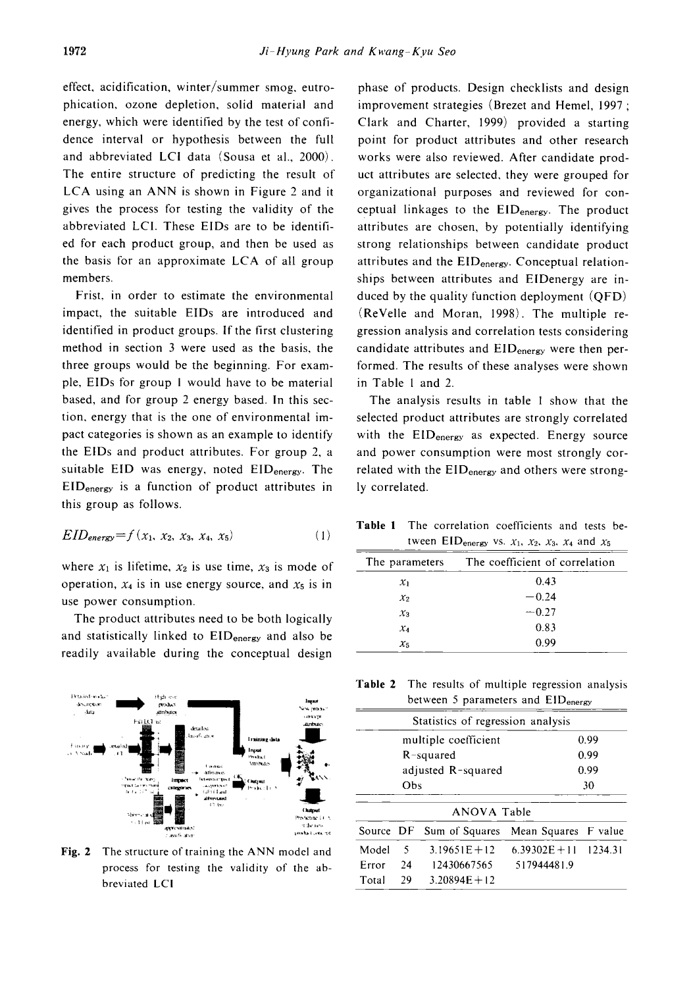effect, acidification, winter/summer smog, eutrophication, ozone depletion, solid material and energy, which were identified by the test of confidence interval or hypothesis between the full and abbreviated LCI data (Sousa et al., 2000). The entire structure of predicting the result of *LCA* using an ANN is shown in Figure 2 and it gives the process for testing the validity of the abbreviated *LCI.* These EIDs are to be identified for each product group, and then be used as the basis for an approximate LCA of all group members.

Frist, in order to estimate the environmental impact, the suitable EIDs are introduced and identified in product groups. If the first clustering method in section 3 were used as the basis, the three groups would be the beginning. For example, EIDs for group 1 would have to be material based, and for group 2 energy based. In this section, energy that is the one of environmental impact categories is shown as an example to identify the EIDs and product attributes. For group 2, a suitable EID was energy, noted EID<sub>energy</sub>. The  $EID_{energy}$  is a function of product attributes in this group as follows.

$$
EID_{energy} = f(x_1, x_2, x_3, x_4, x_5) \tag{1}
$$

where  $x_1$  is lifetime,  $x_2$  is use time,  $x_3$  is mode of operation,  $x_4$  is in use energy source, and  $x_5$  is in use power consumption.

The product attributes need to be both logically and statistically linked to EIDenergy and also be readily available during the conceptual design

Detailed mode ks.npo



Fig. 2 The structure of training the ANN model and process for testing the validity of the abbreviated *LCI* 

phase of products. Design checklists and design improvement strategies (Brezet and Hemel, 1997 ; Clark and Charter, 1999) provided a starting point for product attributes and other research works were also reviewed. After candidate product attributes are selected, they were grouped for organizational purposes and reviewed for conceptual linkages to the  $EID_{\text{energy}}$ . The product attributes are chosen, by potentially identifying strong relationships between candidate product attributes and the EID<sub>energy</sub>. Conceptual relationships between attributes and EIDenergy are induced by the quality function deployment (QFD) (ReVelle and Moran, 1998). The multiple regression analysis and correlation tests considering candidate attributes and E1Denergy were then performed. The results of these analyses were shown in Table I and 2.

The analysis results in table 1 show that the selected product attributes are strongly correlated with the ElDenergy as expected. Energy source and power consumption were most strongly correlated with the EID<sub>energy</sub> and others were strongly correlated.

| <b>Table 1</b> The correlation coefficients and tests be-               |  |  |
|-------------------------------------------------------------------------|--|--|
| tween EID <sub>energy</sub> vs. $x_1$ , $x_2$ , $x_3$ , $x_4$ and $x_5$ |  |  |

|                 | The parameters The coefficient of correlation |
|-----------------|-----------------------------------------------|
| $\mathcal{X}_1$ | 0.43                                          |
| $\chi_2$        | $-0.24$                                       |
| $\chi_3$        | $-0.27$                                       |
| $\chi_4$        | 0.83                                          |
| $\chi_{5}$      | 0.99                                          |

| <b>Table 2</b> The results of multiple regression analysis |
|------------------------------------------------------------|
| between 5 parameters and $EID_{\text{energy}}$             |

| Statistics of regression analysis |                      |                    |                       |      |  |  |  |
|-----------------------------------|----------------------|--------------------|-----------------------|------|--|--|--|
|                                   | multiple coefficient |                    | 0.99                  |      |  |  |  |
|                                   |                      | R-squared          |                       | 0.99 |  |  |  |
|                                   |                      | adjusted R-squared |                       | 0.99 |  |  |  |
|                                   | Obs                  |                    |                       | 30   |  |  |  |
|                                   |                      |                    |                       |      |  |  |  |
|                                   |                      | ANOVA Table        |                       |      |  |  |  |
| Source DF                         |                      | Sum of Squares     | Mean Squares F value  |      |  |  |  |
| Model                             | 5.                   | $3.19651E + 12$    | 6.39302E + 11 1234.31 |      |  |  |  |
| Error                             | 24                   | 12430667565        | 517944481.9           |      |  |  |  |
| Total                             | 29                   | $3.20894E + 12$    |                       |      |  |  |  |
|                                   |                      |                    |                       |      |  |  |  |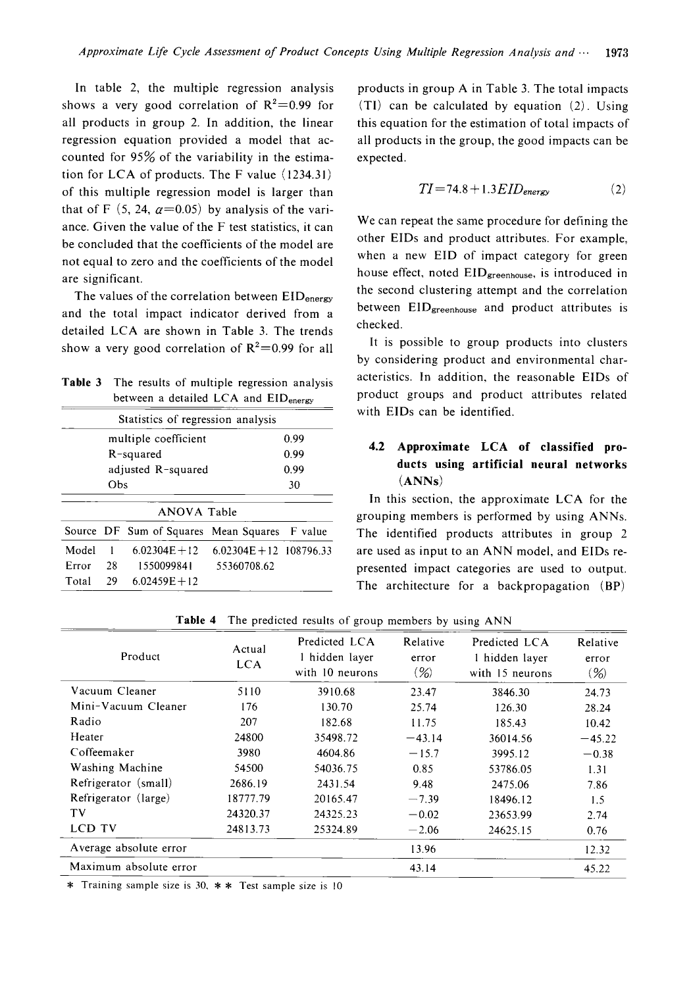In table 2, the multiple regression analysis shows a very good correlation of  $R^2=0.99$  for all products in group 2. In addition, the linear regression equation provided a model that accounted for 95% of the variability in the estimation for LCA of products. The F value (1234.31) of this multiple regression model is larger than that of F (5, 24,  $\alpha$ =0.05) by analysis of the variance. Given the value of **the** F test statistics, it can be concluded that the coefficients of the model are not equal to zero and the coefficients of the model are significant.

The values of the correlation between EID<sub>energy</sub> and the total impact indicator derived from a detailed LCA are shown in Table 3. The trends show a very good correlation of  $R^2=0.99$  for all

**Table 3** The results of multiple regression analysis between a detailed LCA and EID<sub>energy</sub>

| Statistics of regression analysis |                      |                                               |                           |  |  |  |
|-----------------------------------|----------------------|-----------------------------------------------|---------------------------|--|--|--|
|                                   | multiple coefficient | 0.99                                          |                           |  |  |  |
|                                   |                      | 0.99                                          |                           |  |  |  |
|                                   | adjusted R-squared   |                                               |                           |  |  |  |
|                                   | 30                   |                                               |                           |  |  |  |
| ANOVA Table                       |                      |                                               |                           |  |  |  |
|                                   |                      | Source DF Sum of Squares Mean Squares F value |                           |  |  |  |
| Model                             | $\mathbf{1}$         | $6.02304E + 12$                               | $6.02304E + 12$ 108796.33 |  |  |  |
| Error                             | 28                   | 1550099841                                    | 55360708.62               |  |  |  |
| Total                             | 29                   | $6.02459E + 12$                               |                           |  |  |  |

products in group A in Table 3. The total impacts (TI) can be calculated by equation (2). Using this equation for the estimation of total impacts of all products in the group, the good impacts can be expected.

$$
TI = 74.8 + 1.3 EID_{energy} \tag{2}
$$

We can repeat the same procedure for defining the other EIDs and product attributes. For example, when a new EID of impact category for green house effect, noted EID<sub>greenhouse</sub>, is introduced in the second clustering attempt and the correlation between  $E1D_{\text{greenhouse}}$  and product attributes is checked.

It is possible to group products into clusters by considering product and environmental characteristics. In addition, the reasonable EIDs of product groups and product attributes related with EIDs can be identified.

# **4.2 Approximate LCA of classified products using artificial neural networks**  (ANNs)

In this section, the approximate LCA for the grouping members is performed by using ANNs. The identified products attributes in group 2 are used as input to an ANN model, and EIDs represented impact categories are used to output. The architecture for a backpropagation (BP)

| Product                | Actual<br>LCA. | Predicted LCA<br>1 hidden layer<br>with 10 neurons | Relative<br>error<br>(% ) | Predicted LCA<br>1 hidden layer<br>with 15 neurons | Relative<br>error<br>(%) |
|------------------------|----------------|----------------------------------------------------|---------------------------|----------------------------------------------------|--------------------------|
| Vacuum Cleaner         | 5110           | 3910.68                                            | 23.47                     | 3846.30                                            | 24.73                    |
| Mini-Vacuum Cleaner    | 176            | 130.70                                             | 25.74                     | 126.30                                             | 28.24                    |
| Radio                  | 207            | 182.68                                             | 11.75                     | 185.43                                             | 10.42                    |
| Heater                 | 24800          | 35498.72                                           | $-43.14$                  | 36014.56                                           | $-45.22$                 |
| Coffeemaker            | 3980           | 4604.86                                            | $-15.7$                   | 3995.12                                            | $-0.38$                  |
| Washing Machine        | 54500          | 54036.75                                           | 0.85                      | 53786.05                                           | 1.31                     |
| Refrigerator (small)   | 2686.19        | 2431.54                                            | 9.48                      | 2475.06                                            | 7.86                     |
| Refrigerator (large)   | 18777.79       | 20165.47                                           | $-7.39$                   | 18496.12                                           | 1.5                      |
| TV                     | 24320.37       | 24325.23                                           | $-0.02$                   | 23653.99                                           | 2.74                     |
| <b>LCD TV</b>          | 24813.73       | 25324.89                                           | $-2.06$                   | 24625.15                                           | 0.76                     |
| Average absolute error |                |                                                    | 13.96                     |                                                    | 12.32                    |
| Maximum absolute error |                |                                                    | 43.14                     |                                                    | 45.22                    |

**Table** 4 The predicted results of group members by using ANN

\* Training sample size is 30, \* \* Test sample size is 10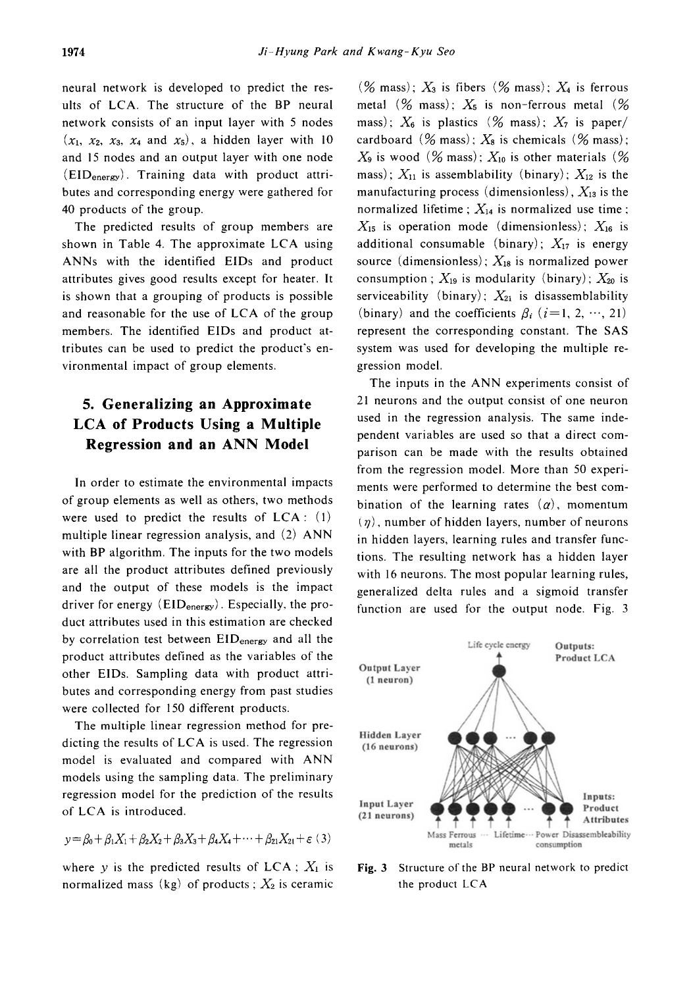neural network is developed to predict the results of LCA. The structure of the BP neural network consists of an input layer with 5 nodes  $(x_1, x_2, x_3, x_4$  and  $x_5)$ , a hidden layer with 10 and 15 nodes and an output layer with one node (EIDenergy). Training data with product attributes and corresponding energy were gathered for 40 products of the group.

The predicted results of group members are shown in Table 4. The approximate LCA using ANNs with the identified EIDs and product attributes gives good results except for heater. It is shown that a grouping of products is possible and reasonable for the use of LCA of the group members. The identified EIDs and product attributes can be used to predict the product's environmental impact of group elements.

# **5. Generalizing an Approximate LCA of Products Using a Multiple Regression and an ANN Model**

In order to estimate the environmental impacts of group elements as well as others, two methods were used to predict the results of  $LCA$ : (1) multiple linear regression analysis, and (2) ANN with BP algorithm. The inputs for the two models are all the product attributes defined previously and the output of these models is the impact driver for energy  $(EID_{\text{energy}})$ . Especially, the product attributes used in this estimation are checked by correlation test between EID<sub>energy</sub> and all the product attributes defined as the variables of the other EIDs. Sampling data with product attributes and corresponding energy from past studies were collected for 150 different products.

The multiple linear regression method for predicting the results of LCA is used. The regression model is evaluated and compared with ANN models using the sampling data. The preliminary regression model for the prediction of the results of LCA is introduced.

$$
y = \beta_0 + \beta_1 X_1 + \beta_2 X_2 + \beta_3 X_3 + \beta_4 X_4 + \dots + \beta_{21} X_{21} + \varepsilon \ (3)
$$

where y is the predicted results of LCA;  $X_1$  is normalized mass (kg) of products ;  $X_2$  is ceramic

(% mass);  $X_3$  is fibers (% mass);  $X_4$  is ferrous metal  $(\%$  mass);  $X_5$  is non-ferrous metal  $(\%$ mass);  $X_6$  is plastics (% mass);  $X_7$  is paper/ cardboard (% mass);  $X_8$  is chemicals (% mass);  $X_9$  is wood (% mass);  $X_{10}$  is other materials (%) mass);  $X_{11}$  is assemblability (binary);  $X_{12}$  is the manufacturing process (dimensionless),  $X_{13}$  is the normalized lifetime ;  $X_{14}$  is normalized use time ;  $X_{15}$  is operation mode (dimensionless);  $X_{16}$  is additional consumable (binary);  $X_{17}$  is energy source (dimensionless);  $X_{18}$  is normalized power consumption ;  $X_{19}$  is modularity (binary);  $X_{20}$  is serviceability (binary);  $X_{21}$  is disassemblability (binary) and the coefficients  $\beta_i$  (i=1, 2, ..., 21) represent the corresponding constant. The SAS system was used for developing the multiple regression model.

The inputs in the ANN experiments consist of 21 neurons and the output consist of one neuron used in the regression analysis. The same independent variables are used so that a direct comparison can be made with the results obtained from the regression model. More than 50 experiments were performed to determine the best combination of the learning rates  $(\alpha)$ , momentum  $(\eta)$ , number of hidden layers, number of neurons in hidden layers, learning rules and transfer functions. The resulting network has a hidden layer with 16 neurons. The most popular learning rules, generalized delta rules and a sigmoid transfer function are used for the output node. Fig. 3



Fig. 3 Structure of the BP neural network to predict the product LCA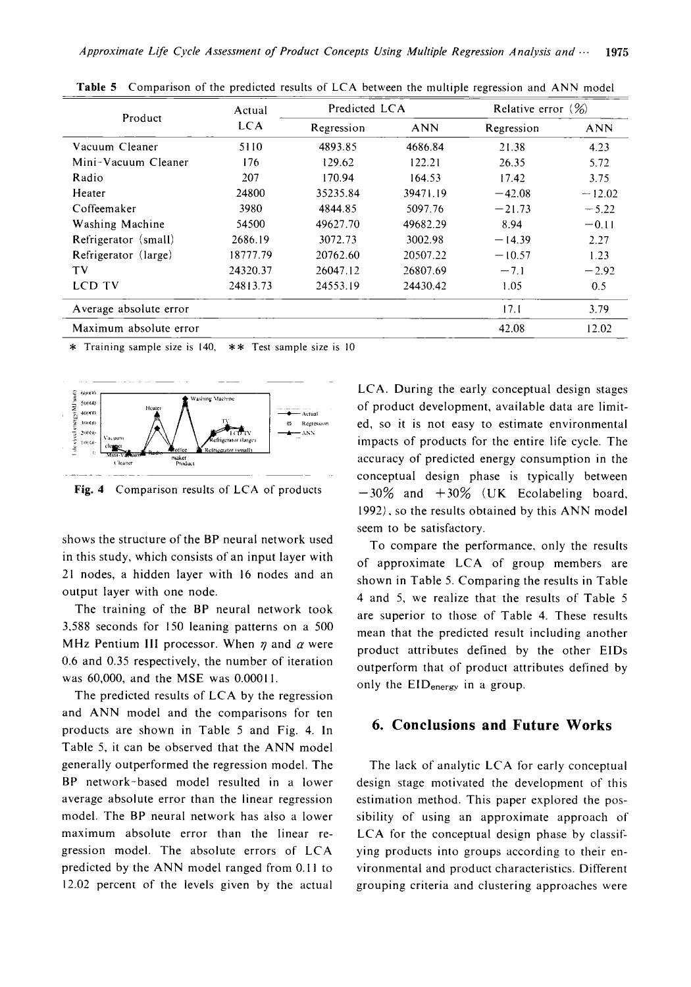| Product                | Actual   | Predicted LCA |          | Relative error $(\%)$ |          |
|------------------------|----------|---------------|----------|-----------------------|----------|
|                        | LCA.     | Regression    | ANN      | Regression            | ANN      |
| Vacuum Cleaner         | 5110     | 4893.85       | 4686.84  | 21.38                 | 4.23     |
| Mini-Vacuum Cleaner    | 176      | 129.62        | 122.21   | 26.35                 | 5.72     |
| Radio                  | 207      | 170.94        | 164.53   | 17.42                 | 3.75     |
| Heater                 | 24800    | 35235.84      | 39471.19 | $-42.08$              | $-12.02$ |
| Coffeemaker            | 3980     | 4844.85       | 5097.76  | $-21.73$              | $-5.22$  |
| Washing Machine        | 54500    | 49627.70      | 49682.29 | 8.94                  | $-0.11$  |
| Refrigerator (small)   | 2686.19  | 3072.73       | 3002.98  | $-14.39$              | 2.27     |
| Refrigerator (large)   | 18777.79 | 20762.60      | 20507.22 | $-10.57$              | 1.23     |
| TV                     | 24320.37 | 26047.12      | 26807.69 | $-7.1$                | $-2.92$  |
| LCD TV                 | 24813.73 | 24553.19      | 24430.42 | 1.05                  | 0.5      |
| Average absolute error |          |               |          | 17.1                  | 3.79     |
| Maximum absolute error |          |               | 42.08    | 12.02                 |          |

Table 5 Comparison of the predicted results of LCA between the multiple regression and ANN model

\* Training sample size is 140, \*\* Test sample size is 10



Fig. **4**  Comparison results of LCA of products

shows the structure of the BP neural network used in this study, which consists of an input layer with 21 nodes, a hidden layer with 16 nodes and an output layer with one node.

The training of the BP neural network took 3,588 seconds for 150 leaning patterns on a 500 MHz Pentium III processor. When  $\eta$  and  $\alpha$  were 0.6 and 0.35 respectively, the number of iteration was 60,000, and the MSE was 0.000l 1.

The predicted results of LCA by the regression and ANN model and the comparisons for ten products are shown in Table 5 and Fig. 4. In Table 5, it can be observed that the ANN model generally outperformed the regression model. The BP network-based model resulted in a lower average absolute error than the linear regression model. The BP neural network has also a lower maximum absolute error than the linear regression model. The absolute errors of LCA predicted by the ANN model ranged from 0.11 to 12.02 percent of the levels given by the actual

LCA. During the early conceptual design stages of product development, available data are limited, so it is not easy to estimate environmental impacts of products for the entire life cycle. The accuracy of predicted energy consumption in the conceptual design phase is typically between  $-30\%$  and  $+30\%$  (UK Ecolabeling board, 1992), so the results obtained by this ANN model seem to be satisfactory.

To compare the performance, only the results of approximate LCA of group members are shown in Table 5. Comparing the results in Table 4 and 5, we realize that the results of Table 5 are superior to those of Table 4. These results mean that the predicted result including another product attributes defined by the other EIDs outperform that of product attributes defined by only the EID<sub>energy</sub> in a group.

## **6. Conclusions and Future Works**

The lack of analytic LCA for early conceptual design stage motivated the development of this estimation method. This paper explored the possibility of using an approximate approach of LCA for the conceptual design phase by classifying products into groups according to their environmental and product characteristics. Different grouping criteria and clustering approaches were